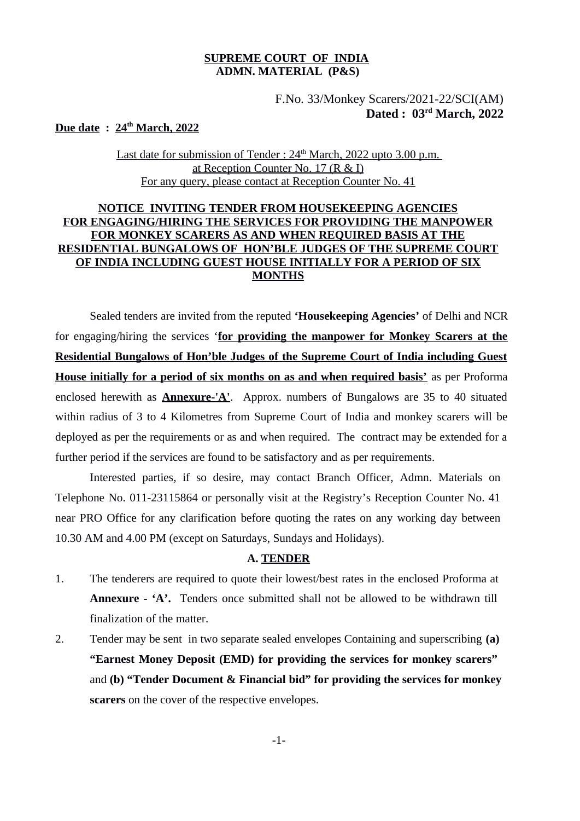### **SUPREME COURT OF INDIA ADMN. MATERIAL (P&S)**

## F.No. 33/Monkey Scarers/2021-22/SCI(AM)  **Dated : 03 rd March, 2022**

**Due date : 24th March, 2022**

Last date for submission of Tender : 24<sup>th</sup> March, 2022 upto 3.00 p.m. at Reception Counter No. 17 (R & I) For any query, please contact at Reception Counter No. 41

## **NOTICE INVITING TENDER FROM HOUSEKEEPING AGENCIES FOR ENGAGING/HIRING THE SERVICES FOR PROVIDING THE MANPOWER FOR MONKEY SCARERS AS AND WHEN REQUIRED BASIS AT THE RESIDENTIAL BUNGALOWS OF HON'BLE JUDGES OF THE SUPREME COURT OF INDIA INCLUDING GUEST HOUSE INITIALLY FOR A PERIOD OF SIX MONTHS**

Sealed tenders are invited from the reputed **'Housekeeping Agencies'** of Delhi and NCR for engaging/hiring the services '**for providing the manpower for Monkey Scarers at the Residential Bungalows of Hon'ble Judges of the Supreme Court of India including Guest House initially for a period of six months on as and when required basis'** as per Proforma enclosed herewith as **Annexure-'A'**. Approx. numbers of Bungalows are 35 to 40 situated within radius of 3 to 4 Kilometres from Supreme Court of India and monkey scarers will be deployed as per the requirements or as and when required. The contract may be extended for a further period if the services are found to be satisfactory and as per requirements.

Interested parties, if so desire, may contact Branch Officer, Admn. Materials on Telephone No. 011-23115864 or personally visit at the Registry's Reception Counter No. 41 near PRO Office for any clarification before quoting the rates on any working day between 10.30 AM and 4.00 PM (except on Saturdays, Sundays and Holidays).

#### **A. TENDER**

- 1. The tenderers are required to quote their lowest/best rates in the enclosed Proforma at **Annexure - 'A'.** Tenders once submitted shall not be allowed to be withdrawn till finalization of the matter.
- 2. Tender may be sent in two separate sealed envelopes Containing and superscribing **(a) "Earnest Money Deposit (EMD) for providing the services for monkey scarers"**  and **(b) "Tender Document & Financial bid" for providing the services for monkey scarers** on the cover of the respective envelopes.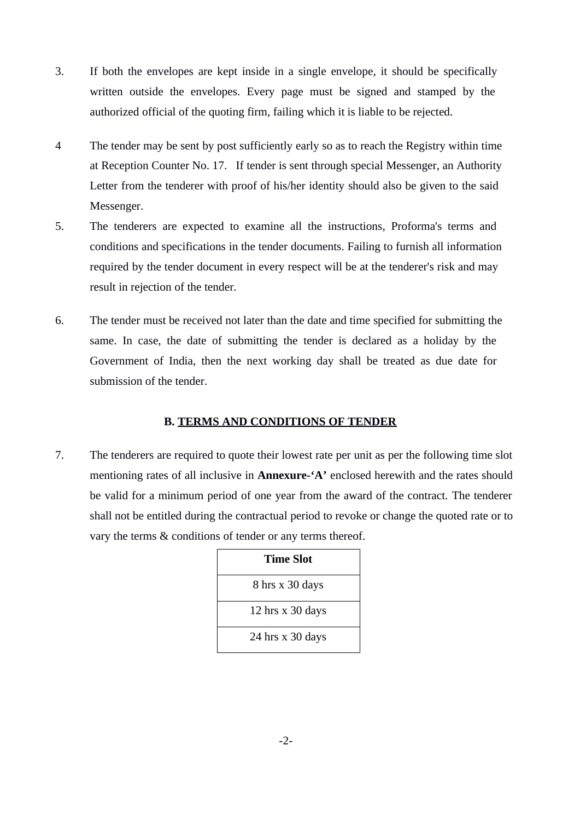- 3. If both the envelopes are kept inside in a single envelope, it should be specifically written outside the envelopes. Every page must be signed and stamped by the authorized official of the quoting firm, failing which it is liable to be rejected.
- 4 The tender may be sent by post sufficiently early so as to reach the Registry within time at Reception Counter No. 17. If tender is sent through special Messenger, an Authority Letter from the tenderer with proof of his/her identity should also be given to the said Messenger.
- 5. The tenderers are expected to examine all the instructions, Proforma's terms and conditions and specifications in the tender documents. Failing to furnish all information required by the tender document in every respect will be at the tenderer's risk and may result in rejection of the tender.
- 6. The tender must be received not later than the date and time specified for submitting the same. In case, the date of submitting the tender is declared as a holiday by the Government of India, then the next working day shall be treated as due date for submission of the tender.

## **B. TERMS AND CONDITIONS OF TENDER**

7. The tenderers are required to quote their lowest rate per unit as per the following time slot mentioning rates of all inclusive in **Annexure-'A'** enclosed herewith and the rates should be valid for a minimum period of one year from the award of the contract. The tenderer shall not be entitled during the contractual period to revoke or change the quoted rate or to vary the terms & conditions of tender or any terms thereof.

| Time Slot          |
|--------------------|
| 8 hrs x 30 days    |
| 12 hrs $x$ 30 days |
| 24 hrs $x$ 30 days |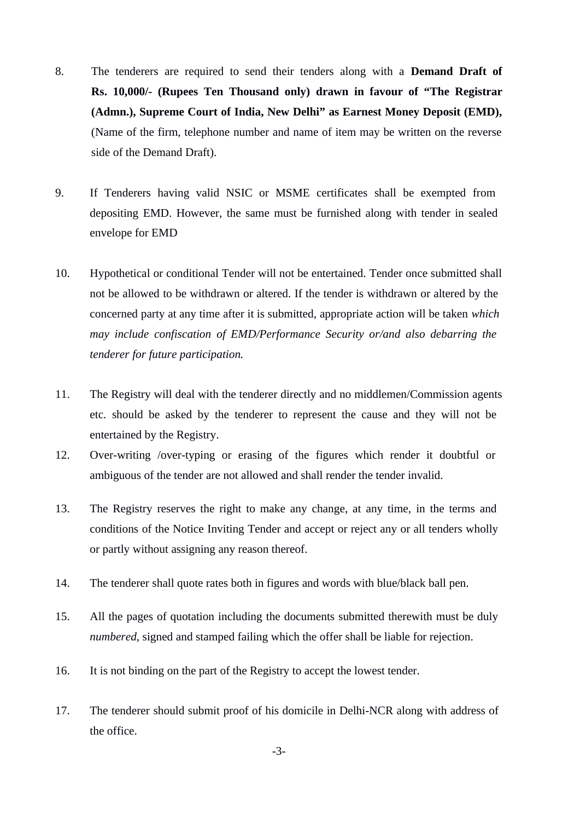- 8. The tenderers are required to send their tenders along with a **Demand Draft of Rs. 10,000/- (Rupees Ten Thousand only) drawn in favour of "The Registrar (Admn.), Supreme Court of India, New Delhi" as Earnest Money Deposit (EMD),** (Name of the firm, telephone number and name of item may be written on the reverse side of the Demand Draft).
- 9. If Tenderers having valid NSIC or MSME certificates shall be exempted from depositing EMD. However, the same must be furnished along with tender in sealed envelope for EMD
- 10. Hypothetical or conditional Tender will not be entertained. Tender once submitted shall not be allowed to be withdrawn or altered. If the tender is withdrawn or altered by the concerned party at any time after it is submitted, appropriate action will be taken *which may include confiscation of EMD/Performance Security or/and also debarring the tenderer for future participation.*
- 11. The Registry will deal with the tenderer directly and no middlemen/Commission agents etc. should be asked by the tenderer to represent the cause and they will not be entertained by the Registry.
- 12. Over-writing /over-typing or erasing of the figures which render it doubtful or ambiguous of the tender are not allowed and shall render the tender invalid.
- 13. The Registry reserves the right to make any change, at any time, in the terms and conditions of the Notice Inviting Tender and accept or reject any or all tenders wholly or partly without assigning any reason thereof.
- 14. The tenderer shall quote rates both in figures and words with blue/black ball pen.
- 15. All the pages of quotation including the documents submitted therewith must be duly *numbered*, signed and stamped failing which the offer shall be liable for rejection.
- 16. It is not binding on the part of the Registry to accept the lowest tender.
- 17. The tenderer should submit proof of his domicile in Delhi-NCR along with address of the office.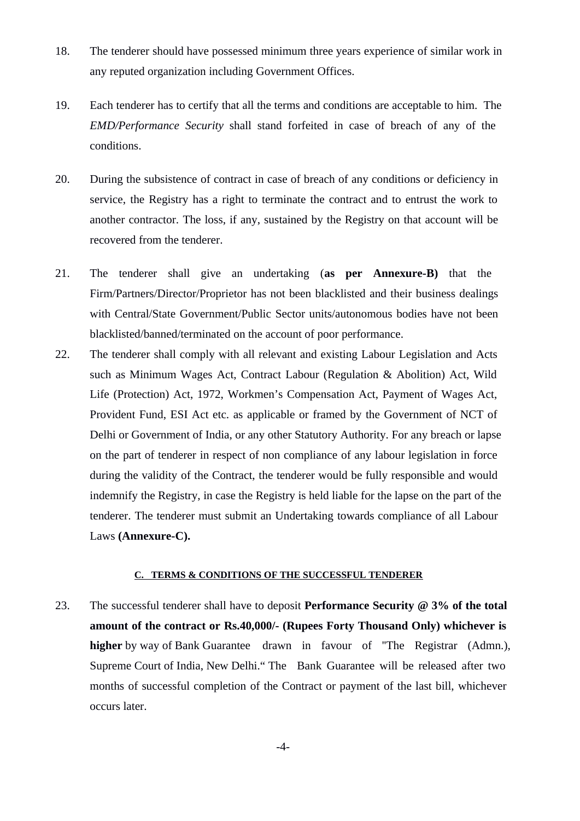- 18. The tenderer should have possessed minimum three years experience of similar work in any reputed organization including Government Offices.
- 19. Each tenderer has to certify that all the terms and conditions are acceptable to him. The *EMD/Performance Security* shall stand forfeited in case of breach of any of the conditions.
- 20. During the subsistence of contract in case of breach of any conditions or deficiency in service, the Registry has a right to terminate the contract and to entrust the work to another contractor. The loss, if any, sustained by the Registry on that account will be recovered from the tenderer.
- 21. The tenderer shall give an undertaking (**as per Annexure-B)** that the Firm/Partners/Director/Proprietor has not been blacklisted and their business dealings with Central/State Government/Public Sector units/autonomous bodies have not been blacklisted/banned/terminated on the account of poor performance.
- 22. The tenderer shall comply with all relevant and existing Labour Legislation and Acts such as Minimum Wages Act, Contract Labour (Regulation & Abolition) Act, Wild Life (Protection) Act, 1972, Workmen's Compensation Act, Payment of Wages Act, Provident Fund, ESI Act etc. as applicable or framed by the Government of NCT of Delhi or Government of India, or any other Statutory Authority. For any breach or lapse on the part of tenderer in respect of non compliance of any labour legislation in force during the validity of the Contract, the tenderer would be fully responsible and would indemnify the Registry, in case the Registry is held liable for the lapse on the part of the tenderer. The tenderer must submit an Undertaking towards compliance of all Labour Laws **(Annexure-C).**

#### **C. TERMS & CONDITIONS OF THE SUCCESSFUL TENDERER**

23. The successful tenderer shall have to deposit **Performance Security @ 3% of the total amount of the contract or Rs.40,000/- (Rupees Forty Thousand Only) whichever is higher** by way of Bank Guarantee drawn in favour of ''The Registrar (Admn.), Supreme Court of India, New Delhi." The Bank Guarantee will be released after two months of successful completion of the Contract or payment of the last bill, whichever occurs later.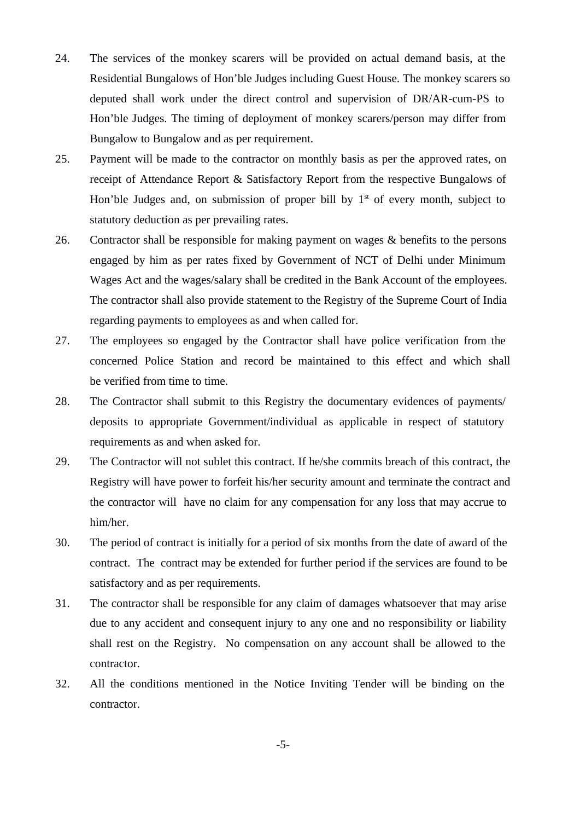- 24. The services of the monkey scarers will be provided on actual demand basis, at the Residential Bungalows of Hon'ble Judges including Guest House. The monkey scarers so deputed shall work under the direct control and supervision of DR/AR-cum-PS to Hon'ble Judges. The timing of deployment of monkey scarers/person may differ from Bungalow to Bungalow and as per requirement.
- 25. Payment will be made to the contractor on monthly basis as per the approved rates, on receipt of Attendance Report & Satisfactory Report from the respective Bungalows of Hon'ble Judges and, on submission of proper bill by  $1<sup>st</sup>$  of every month, subject to statutory deduction as per prevailing rates.
- 26. Contractor shall be responsible for making payment on wages & benefits to the persons engaged by him as per rates fixed by Government of NCT of Delhi under Minimum Wages Act and the wages/salary shall be credited in the Bank Account of the employees. The contractor shall also provide statement to the Registry of the Supreme Court of India regarding payments to employees as and when called for.
- 27. The employees so engaged by the Contractor shall have police verification from the concerned Police Station and record be maintained to this effect and which shall be verified from time to time.
- 28. The Contractor shall submit to this Registry the documentary evidences of payments/ deposits to appropriate Government/individual as applicable in respect of statutory requirements as and when asked for.
- 29. The Contractor will not sublet this contract. If he/she commits breach of this contract, the Registry will have power to forfeit his/her security amount and terminate the contract and the contractor will have no claim for any compensation for any loss that may accrue to him/her.
- 30. The period of contract is initially for a period of six months from the date of award of the contract. The contract may be extended for further period if the services are found to be satisfactory and as per requirements.
- 31. The contractor shall be responsible for any claim of damages whatsoever that may arise due to any accident and consequent injury to any one and no responsibility or liability shall rest on the Registry. No compensation on any account shall be allowed to the contractor.
- 32. All the conditions mentioned in the Notice Inviting Tender will be binding on the contractor.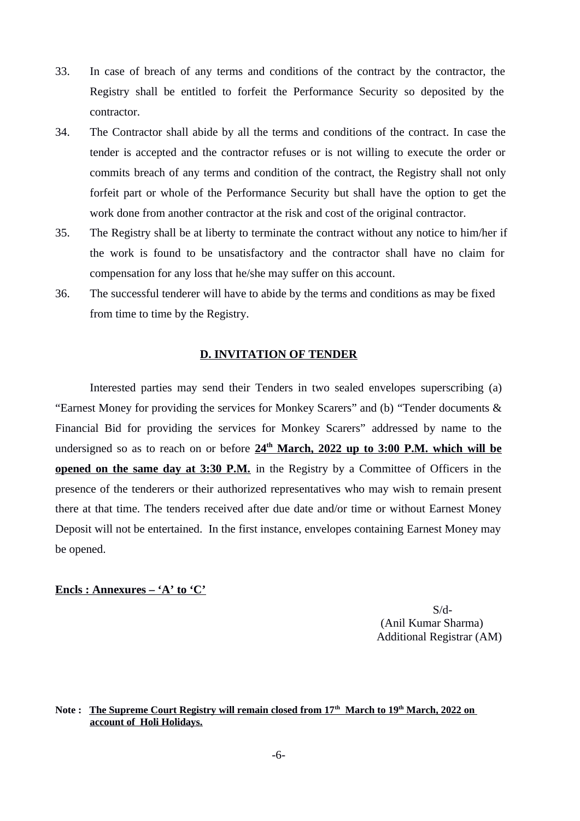- 33. In case of breach of any terms and conditions of the contract by the contractor, the Registry shall be entitled to forfeit the Performance Security so deposited by the contractor.
- 34. The Contractor shall abide by all the terms and conditions of the contract. In case the tender is accepted and the contractor refuses or is not willing to execute the order or commits breach of any terms and condition of the contract, the Registry shall not only forfeit part or whole of the Performance Security but shall have the option to get the work done from another contractor at the risk and cost of the original contractor.
- 35. The Registry shall be at liberty to terminate the contract without any notice to him/her if the work is found to be unsatisfactory and the contractor shall have no claim for compensation for any loss that he/she may suffer on this account.
- 36. The successful tenderer will have to abide by the terms and conditions as may be fixed from time to time by the Registry.

#### **D. INVITATION OF TENDER**

Interested parties may send their Tenders in two sealed envelopes superscribing (a) "Earnest Money for providing the services for Monkey Scarers" and (b) "Tender documents & Financial Bid for providing the services for Monkey Scarers" addressed by name to the undersigned so as to reach on or before 24<sup>th</sup> March, 2022 up to 3:00 P.M. which will be **opened on the same day at 3:30 P.M.** in the Registry by a Committee of Officers in the presence of the tenderers or their authorized representatives who may wish to remain present there at that time. The tenders received after due date and/or time or without Earnest Money Deposit will not be entertained. In the first instance, envelopes containing Earnest Money may be opened.

#### **Encls : Annexures – 'A' to 'C'**

S/d- (Anil Kumar Sharma) Additional Registrar (AM)

**Note : The Supreme Court Registry will remain closed from 17th March to 19th March, 2022 on account of Holi Holidays.**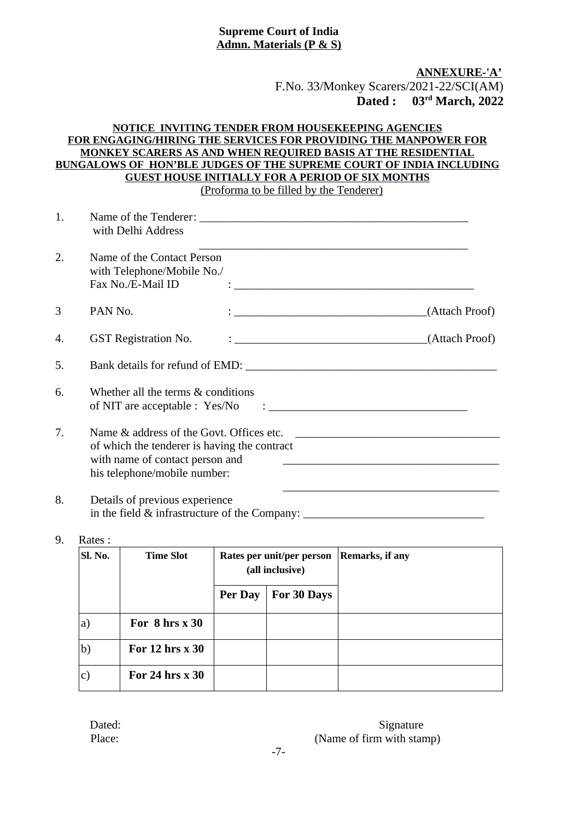### **Supreme Court of India Admn. Materials (P & S)**

**ANNEXURE-'A'** F.No. 33/Monkey Scarers/2021-22/SCI(AM)  **Dated : 03rd March, 2022**

#### **NOTICE INVITING TENDER FROM HOUSEKEEPING AGENCIES FOR ENGAGING/HIRING THE SERVICES FOR PROVIDING THE MANPOWER FOR MONKEY SCARERS AS AND WHEN REQUIRED BASIS AT THE RESIDENTIAL BUNGALOWS OF HON'BLE JUDGES OF THE SUPREME COURT OF INDIA INCLUDING GUEST HOUSE INITIALLY FOR A PERIOD OF SIX MONTHS** (Proforma to be filled by the Tenderer)

| 1. | with Delhi Address                                                                                                                                                                                                                                                                                                   |                                                                                                                                                                                                                                            |
|----|----------------------------------------------------------------------------------------------------------------------------------------------------------------------------------------------------------------------------------------------------------------------------------------------------------------------|--------------------------------------------------------------------------------------------------------------------------------------------------------------------------------------------------------------------------------------------|
| 2. | Name of the Contact Person<br>with Telephone/Mobile No./<br>Fax No./E-Mail ID<br>$\ddot{\cdot}$ , and the contract of the contract of the contract of the contract of the contract of the contract of the contract of the contract of the contract of the contract of the contract of the contract of the contract o |                                                                                                                                                                                                                                            |
| 3  | PAN No.<br><u> 1988 - Johann John Stone, mars an deus Amerikaansk kommunister (</u>                                                                                                                                                                                                                                  | (Attach Proof)                                                                                                                                                                                                                             |
| 4. | <b>GST Registration No.</b>                                                                                                                                                                                                                                                                                          | $\frac{1}{2}$ (Attach Proof)                                                                                                                                                                                                               |
| 5. | Bank details for refund of EMD:                                                                                                                                                                                                                                                                                      |                                                                                                                                                                                                                                            |
| 6. | Whether all the terms & conditions                                                                                                                                                                                                                                                                                   |                                                                                                                                                                                                                                            |
| 7. | Name & address of the Govt. Offices etc.<br>of which the tenderer is having the contract<br>with name of contact person and<br>his telephone/mobile number:                                                                                                                                                          | <u> 1980 - Jan Stein Harry Harry Harry Harry Harry Harry Harry Harry Harry Harry Harry Harry Harry Harry Harry</u><br><u> 2002 - Jan James James James James James James James James James James James James James James James James J</u> |
| 8. | Details of previous experience<br>in the field & infrastructure of the Company: __________________________________                                                                                                                                                                                                   |                                                                                                                                                                                                                                            |

## 9. Rates :

| Sl. No. | <b>Time Slot</b>    | Rates per unit/per person<br>(all inclusive) |             | <b>Remarks, if any</b> |
|---------|---------------------|----------------------------------------------|-------------|------------------------|
|         |                     | Per Day                                      | For 30 Days |                        |
| a)      | For $8$ hrs $x$ 30  |                                              |             |                        |
| b)      | For $12$ hrs $x$ 30 |                                              |             |                        |
| c)      | For 24 hrs $x$ 30   |                                              |             |                        |

### Dated: Signature Place: (Name of firm with stamp)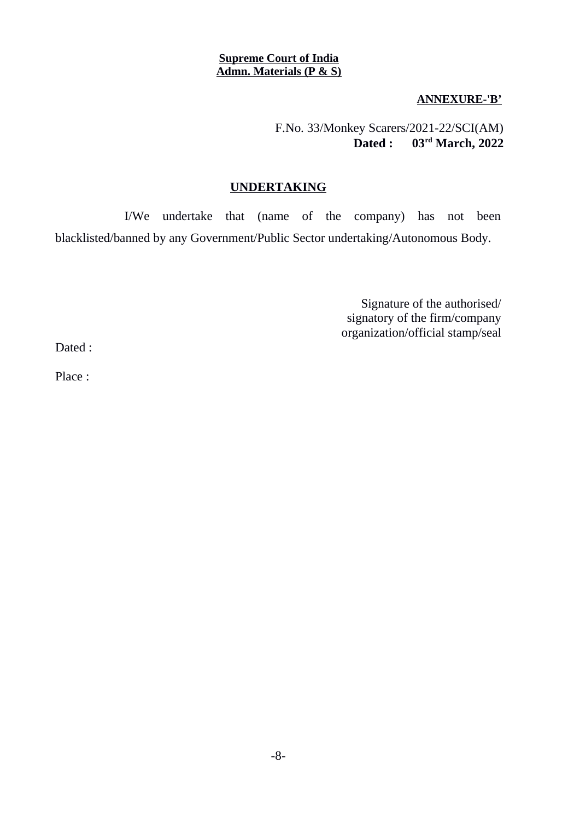### **Supreme Court of India Admn. Materials (P & S)**

**ANNEXURE-'B'**

F.No. 33/Monkey Scarers/2021-22/SCI(AM)  **Dated : 03rd March, 2022**

## **UNDERTAKING**

I/We undertake that (name of the company) has not been blacklisted/banned by any Government/Public Sector undertaking/Autonomous Body.

> Signature of the authorised/ signatory of the firm/company organization/official stamp/seal

Dated :

Place :